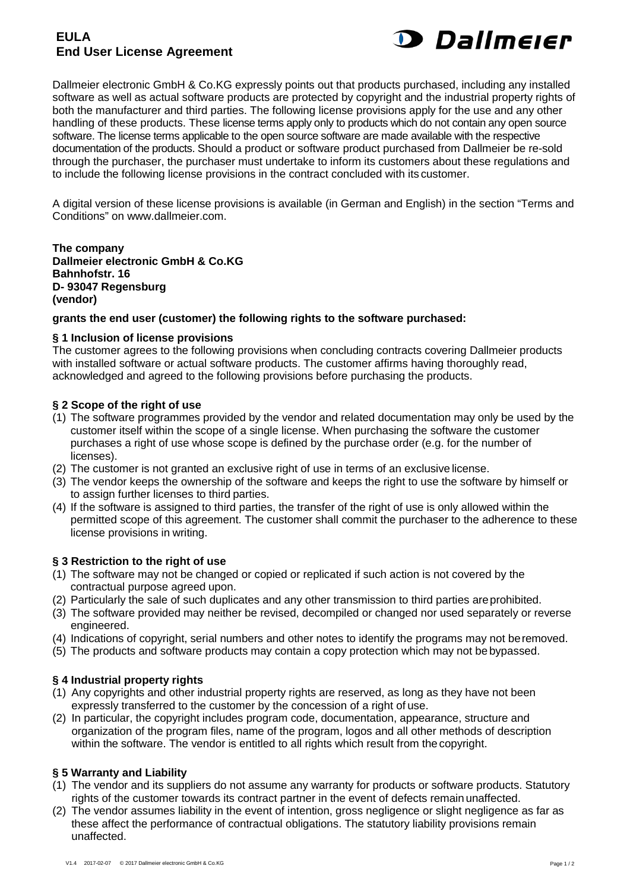# **EULA End User License Agreement**



Dallmeier electronic GmbH & Co.KG expressly points out that products purchased, including any installed software as well as actual software products are protected by copyright and the industrial property rights of both the manufacturer and third parties. The following license provisions apply for the use and any other handling of these products. These license terms apply only to products which do not contain any open source software. The license terms applicable to the open source software are made available with the respective documentation of the products. Should a product or software product purchased from Dallmeier be re-sold through the purchaser, the purchaser must undertake to inform its customers about these regulations and to include the following license provisions in the contract concluded with its customer.

A digital version of these license provisions is available (in German and English) in the section "Terms and Conditions" on www.dallmeier.com.

**The company Dallmeier electronic GmbH & Co.KG Bahnhofstr. 16 D- 93047 Regensburg (vendor)**

#### **grants the end user (customer) the following rights to the software purchased:**

#### **§ 1 Inclusion of license provisions**

The customer agrees to the following provisions when concluding contracts covering Dallmeier products with installed software or actual software products. The customer affirms having thoroughly read, acknowledged and agreed to the following provisions before purchasing the products.

#### **§ 2 Scope of the right of use**

- (1) The software programmes provided by the vendor and related documentation may only be used by the customer itself within the scope of a single license. When purchasing the software the customer purchases a right of use whose scope is defined by the purchase order (e.g. for the number of licenses).
- (2) The customer is not granted an exclusive right of use in terms of an exclusive license.
- (3) The vendor keeps the ownership of the software and keeps the right to use the software by himself or to assign further licenses to third parties.
- (4) If the software is assigned to third parties, the transfer of the right of use is only allowed within the permitted scope of this agreement. The customer shall commit the purchaser to the adherence to these license provisions in writing.

#### **§ 3 Restriction to the right of use**

- (1) The software may not be changed or copied or replicated if such action is not covered by the contractual purpose agreed upon.
- (2) Particularly the sale of such duplicates and any other transmission to third parties areprohibited.
- (3) The software provided may neither be revised, decompiled or changed nor used separately or reverse engineered.
- (4) Indications of copyright, serial numbers and other notes to identify the programs may not beremoved.
- (5) The products and software products may contain a copy protection which may not be bypassed.

#### **§ 4 Industrial property rights**

- (1) Any copyrights and other industrial property rights are reserved, as long as they have not been expressly transferred to the customer by the concession of a right of use.
- (2) In particular, the copyright includes program code, documentation, appearance, structure and organization of the program files, name of the program, logos and all other methods of description within the software. The vendor is entitled to all rights which result from the copyright.

#### **§ 5 Warranty and Liability**

- (1) The vendor and its suppliers do not assume any warranty for products or software products. Statutory rights of the customer towards its contract partner in the event of defects remain unaffected.
- (2) The vendor assumes liability in the event of intention, gross negligence or slight negligence as far as these affect the performance of contractual obligations. The statutory liability provisions remain unaffected.